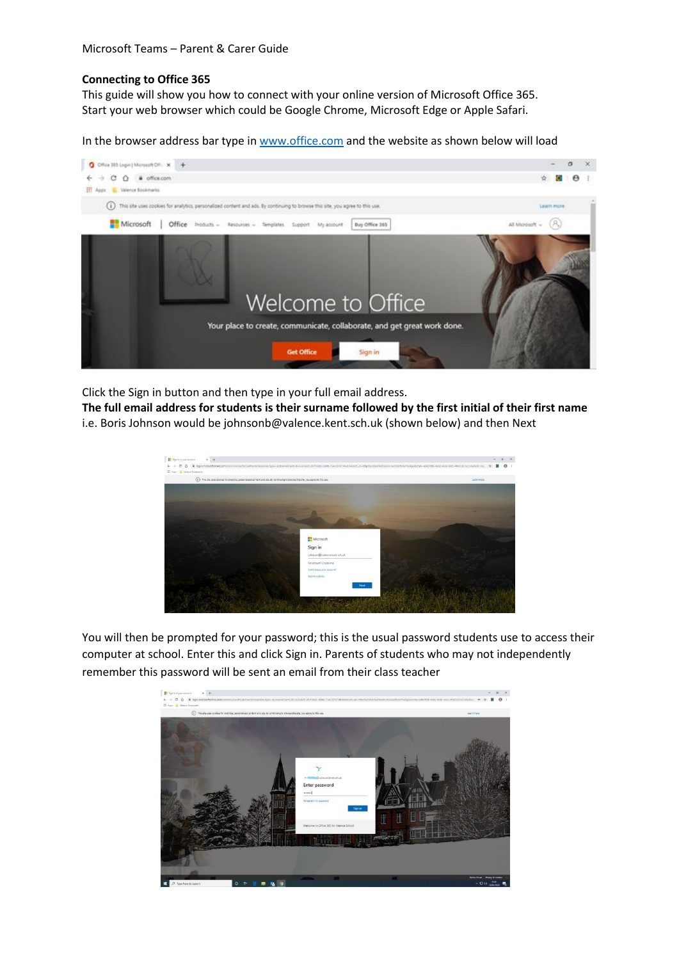## **Connecting to Office 365**

This guide will show you how to connect with your online version of Microsoft Office 365. Start your web browser which could be Google Chrome, Microsoft Edge or Apple Safari.

In the browser address bar type in [www.office.com](http://www.office.com/) and the website as shown below will load



Click the Sign in button and then type in your full email address.

**The full email address for students is their surname followed by the first initial of their first name** i.e. Boris Johnson would be johnsonb@valence.kent.sch.uk (shown below) and then Next



You will then be prompted for your password; this is the usual password students use to access their computer at school. Enter this and click Sign in. Parents of students who may not independently remember this password will be sent an email from their class teacher

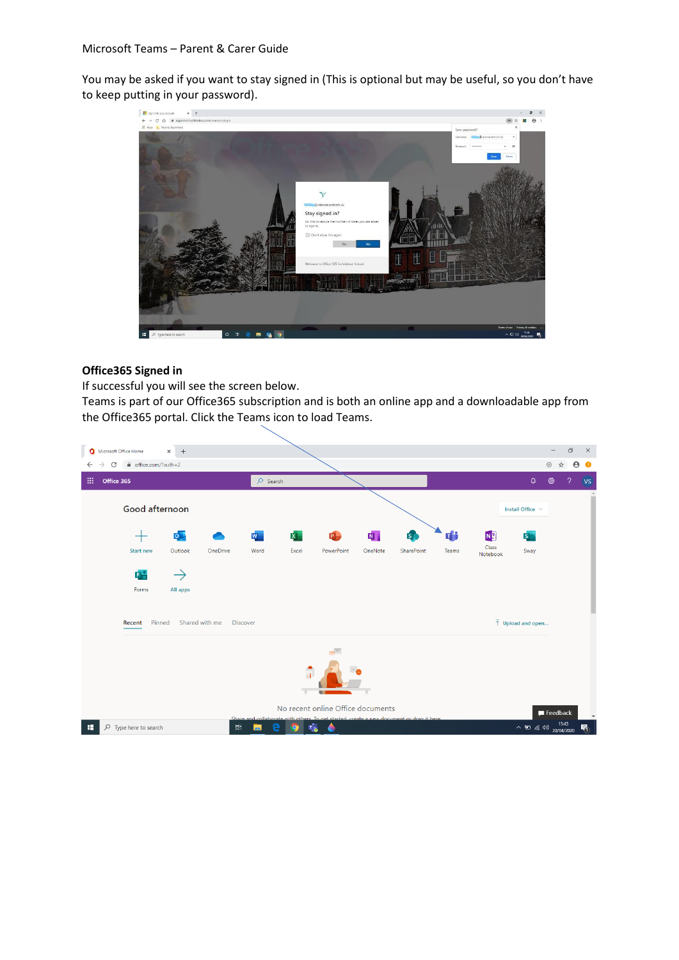You may be asked if you want to stay signed in (This is optional but may be useful, so you don't have to keep putting in your password).



## **Office365 Signed in**

If successful you will see the screen below.

Teams is part of our Office365 subscription and is both an online app and a downloadable app from the Office365 portal. Click the Teams icon to load Teams.

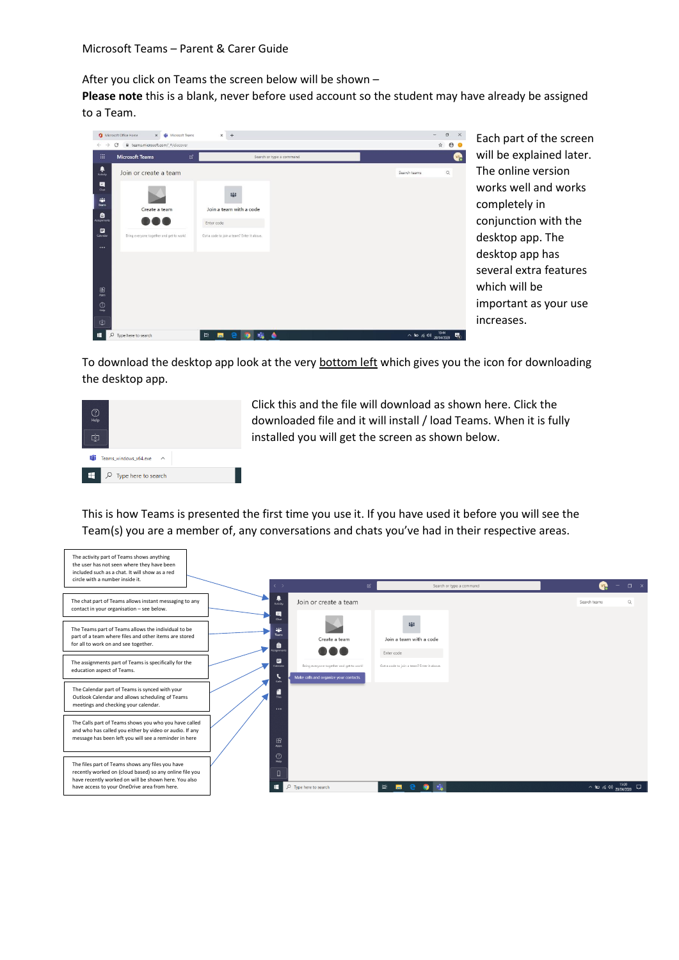After you click on Teams the screen below will be shown –

**Please note** this is a blank, never before used account so the student may have already be assigned to a Team.



Each part of the screen will be explained later. The online version works well and works completely in conjunction with the desktop app. The desktop app has several extra features which will be important as your use increases.

To download the desktop app look at the very bottom left which gives you the icon for downloading the desktop app.



Click this and the file will download as shown here. Click the downloaded file and it will install / load Teams. When it is fully installed you will get the screen as shown below.

This is how Teams is presented the first time you use it. If you have used it before you will see the Team(s) you are a member of, any conversations and chats you've had in their respective areas.

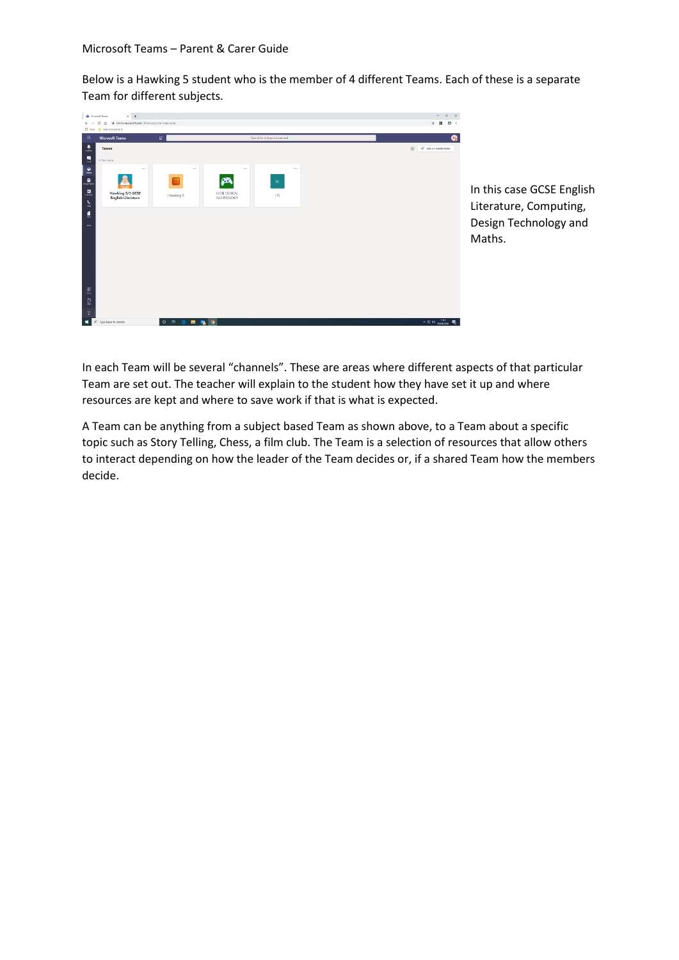Below is a Hawking 5 student who is the member of 4 different Teams. Each of these is a separate Team for different subjects.



In this case GCSE English Literature, Computing, Design Technology and Maths.

In each Team will be several "channels". These are areas where different aspects of that particular Team are set out. The teacher will explain to the student how they have set it up and where resources are kept and where to save work if that is what is expected.

A Team can be anything from a subject based Team as shown above, to a Team about a specific topic such as Story Telling, Chess, a film club. The Team is a selection of resources that allow others to interact depending on how the leader of the Team decides or, if a shared Team how the members decide.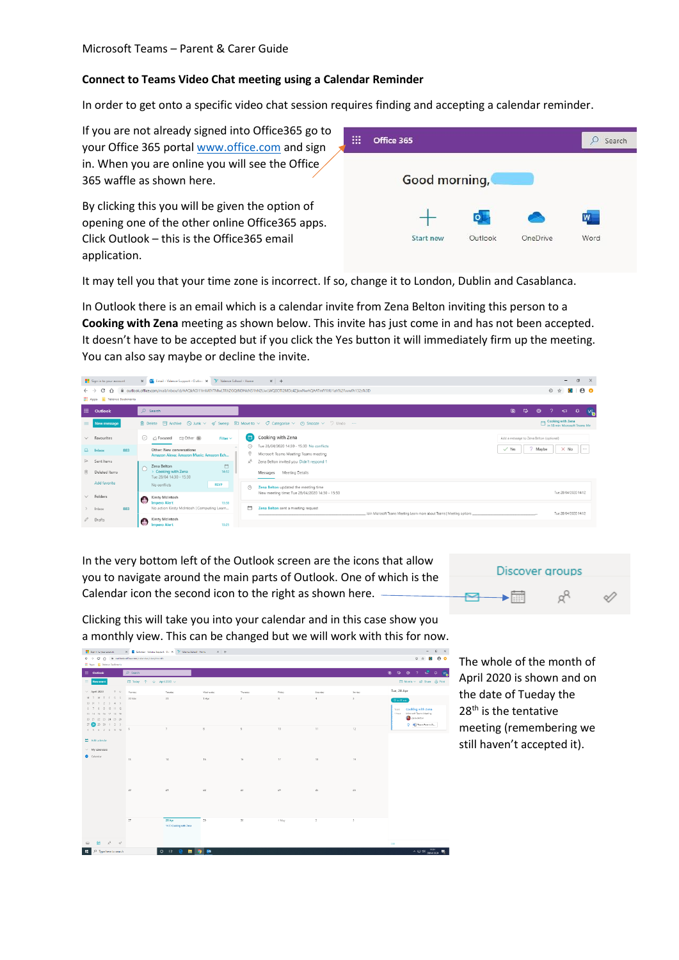## **Connect to Teams Video Chat meeting using a Calendar Reminder**

In order to get onto a specific video chat session requires finding and accepting a calendar reminder.

| If you are not already signed into Office 365 go to<br>your Office 365 portal www.office.com and sign                                               | $\cdots$<br>Office 365<br>$\mathbf{1}$  | Search    |
|-----------------------------------------------------------------------------------------------------------------------------------------------------|-----------------------------------------|-----------|
| in. When you are online you will see the Office<br>365 waffle as shown here.                                                                        | Good morning,                           |           |
| By clicking this you will be given the option of<br>opening one of the other online Office365 apps.<br>Click Outlook - this is the Office 365 email | <b>Start new</b><br>Outlook<br>OneDrive | W<br>Word |
| application.                                                                                                                                        |                                         |           |

It may tell you that your time zone is incorrect. If so, change it to London, Dublin and Casablanca.

In Outlook there is an email which is a calendar invite from Zena Belton inviting this person to a **Cooking with Zena** meeting as shown below. This invite has just come in and has not been accepted. It doesn't have to be accepted but if you click the Yes button it will immediately firm up the meeting. You can also say maybe or decline the invite.



In the very bottom left of the Outlook screen are the icons that allow you to navigate around the main parts of Outlook. One of which is the Calendar icon the second icon to the right as shown here.



Clicking this will take you into your calendar and in this case show you a monthly view. This can be changed but we will work with this for now.



The whole of the month of April 2020 is shown and on the date of Tueday the 28<sup>th</sup> is the tentative meeting (remembering we still haven't accepted it).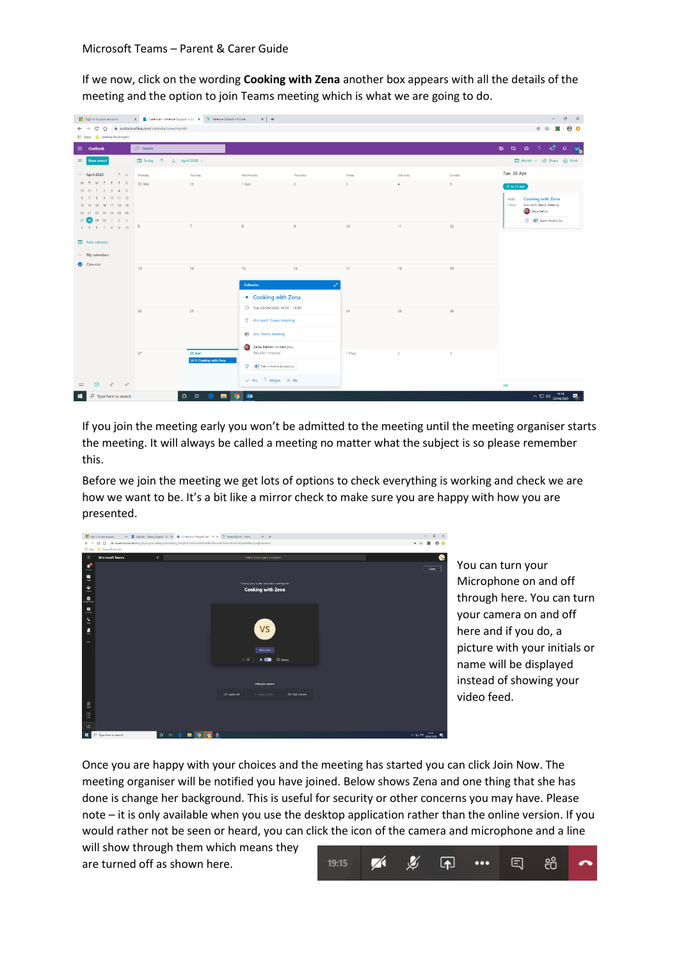If we now, click on the wording **Cooking with Zena** another box appears with all the details of the meeting and the option to join Teams meeting which is what we are going to do.



If you join the meeting early you won't be admitted to the meeting until the meeting organiser starts the meeting. It will always be called a meeting no matter what the subject is so please remember this.

Before we join the meeting we get lots of options to check everything is working and check we are how we want to be. It's a bit like a mirror check to make sure you are happy with how you are presented.



You can turn your Microphone on and off through here. You can turn your camera on and off here and if you do, a picture with your initials or name will be displayed instead of showing your video feed.

Once you are happy with your choices and the meeting has started you can click Join Now. The meeting organiser will be notified you have joined. Below shows Zena and one thing that she has done is change her background. This is useful for security or other concerns you may have. Please note – it is only available when you use the desktop application rather than the online version. If you would rather not be seen or heard, you can click the icon of the camera and microphone and a line

will show through them which means they are turned off as shown here.